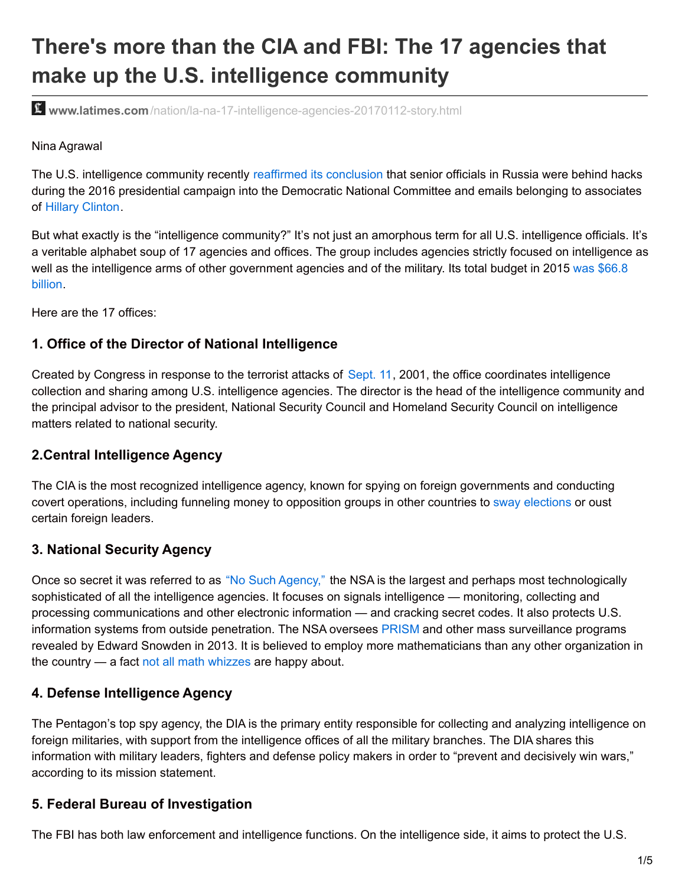# **There's more than the CIA and FBI: The 17 agencies that make up the U.S. intelligence community**

**www.latimes.com**[/nation/la-na-17-intelligence-agencies-20170112-story.html](http://www.latimes.com/nation/la-na-17-intelligence-agencies-20170112-story.html)

#### Nina Agrawal

The U.S. intelligence community recently reaffirmed its [conclusion](http://www.latimes.com/nation/la-na-trump-russia-20170106-story.html) that senior officials in Russia were behind hacks during the 2016 presidential campaign into the Democratic National Committee and emails belonging to associates of Hillary [Clinton](http://www.latimes.com/topic/politics-government/government/hillary-clinton-PEPLT007433-topic.html).

But what exactly is the "intelligence community?" It's not just an amorphous term for all U.S. intelligence officials. It's a veritable alphabet soup of 17 agencies and offices. The group includes agencies strictly focused on intelligence as well as the intelligence arms of other [government](https://www.dni.gov/index.php/intelligence-community/ic-policies-reports/ic-policies-2?highlight=WyJidWRnZXQiXQ==) agencies and of the military. Its total budget in 2015 was \$66.8 billion.

Here are the 17 offices:

## **1. Office of the Director of National Intelligence**

Created by Congress in response to the terrorist attacks of [Sept.](http://www.latimes.com/topic/unrest-conflicts-war/terrorism/september-11-attacks-EVHST000001-topic.html) 11, 2001, the office coordinates intelligence collection and sharing among U.S. intelligence agencies. The director is the head of the intelligence community and the principal advisor to the president, National Security Council and Homeland Security Council on intelligence matters related to national security.

## **2.Central Intelligence Agency**

The CIA is the most recognized intelligence agency, known for spying on foreign governments and conducting covert operations, including funneling money to opposition groups in other countries to sway [elections](http://www.latimes.com/nation/la-na-us-intervention-foreign-elections-20161213-story.html) or oust certain foreign leaders.

#### **3. National Security Agency**

Once so secret it was referred to as "No Such [Agency,"](http://www.nytimes.com/2005/12/25/weekinreview/the-agency-that-could-be-big-brother.html) the NSA is the largest and perhaps most technologically sophisticated of all the intelligence agencies. It focuses on signals intelligence — monitoring, collecting and processing communications and other electronic information — and cracking secret codes. It also protects U.S. information systems from outside penetration. The NSA oversees [PRISM](http://www.latimes.com/topic/politics-government/prism-%28surveillance-program%29-EVGAP00075-topic.html) and other mass surveillance programs revealed by Edward Snowden in 2013. It is believed to employ more mathematicians than any other organization in the country — a fact not all math [whizzes](http://www.forbes.com/sites/kashmirhill/2014/06/05/mathematicians-urge-colleagues-to-refuse-to-work-for-the-nsa/#2b8c2e716c2e) are happy about.

#### **4. Defense Intelligence Agency**

The Pentagon's top spy agency, the DIA is the primary entity responsible for collecting and analyzing intelligence on foreign militaries, with support from the intelligence offices of all the military branches. The DIA shares this information with military leaders, fighters and defense policy makers in order to "prevent and decisively win wars," according to its mission statement.

## **5. Federal Bureau of Investigation**

The FBI has both law enforcement and intelligence functions. On the intelligence side, it aims to protect the U.S.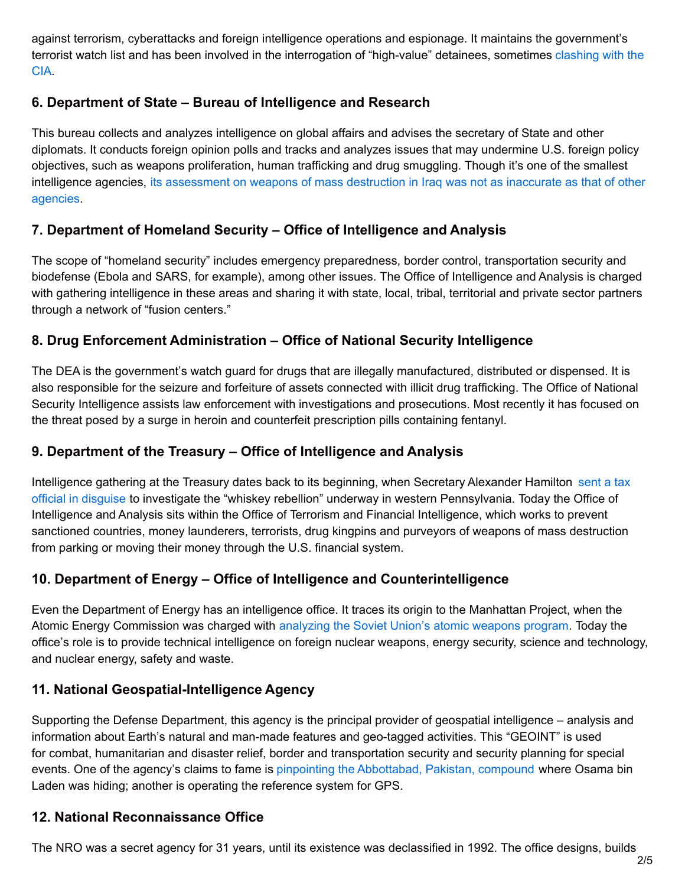against terrorism, cyberattacks and foreign intelligence operations and espionage. It maintains the government's terrorist watch list and has been involved in the [interrogation](http://www.nytimes.com/2008/01/04/world/americas/04iht-intel.1.9021723.html) of "high-value" detainees, sometimes clashing with the CIA.

# **6. Department of State – Bureau of Intelligence and Research**

This bureau collects and analyzes intelligence on global affairs and advises the secretary of State and other diplomats. It conducts foreign opinion polls and tracks and analyzes issues that may undermine U.S. foreign policy objectives, such as weapons proliferation, human trafficking and drug smuggling. Though it's one of the smallest intelligence agencies, its [assessment](http://www.nytimes.com/2004/07/19/world/reach-war-intelligence-tiny-agency-s-iraq-analysis-better-than-big-rivals.html) on weapons of mass destruction in Iraq was not as inaccurate as that of other agencies.

# **7. Department of Homeland Security – Office of Intelligence and Analysis**

The scope of "homeland security" includes emergency preparedness, border control, transportation security and biodefense (Ebola and SARS, for example), among other issues. The Office of Intelligence and Analysis is charged with gathering intelligence in these areas and sharing it with state, local, tribal, territorial and private sector partners through a network of "fusion centers."

# **8. Drug Enforcement Administration – Office of National Security Intelligence**

The DEA is the government's watch guard for drugs that are illegally manufactured, distributed or dispensed. It is also responsible for the seizure and forfeiture of assets connected with illicit drug trafficking. The Office of National Security Intelligence assists law enforcement with investigations and prosecutions. Most recently it has focused on the threat posed by a surge in heroin and counterfeit prescription pills containing fentanyl.

## **9. Department of the Treasury – Office of Intelligence and Analysis**

Intelligence gathering at the Treasury dates back to its beginning, when Secretary Alexander Hamilton sent a tax official in disguise to investigate the "whiskey rebellion" underway in western [Pennsylvania.](https://founders.archives.gov/documents/Washington/05-11-02-0030#GEWN-05-11-02-0030-fn-0003-ptr) Today the Office of Intelligence and Analysis sits within the Office of Terrorism and Financial Intelligence, which works to prevent sanctioned countries, money launderers, terrorists, drug kingpins and purveyors of weapons of mass destruction from parking or moving their money through the U.S. financial system.

# **10. Department of Energy – Office of Intelligence and Counterintelligence**

Even the Department of Energy has an intelligence office. It traces its origin to the Manhattan Project, when the Atomic Energy Commission was charged with [analyzing](https://fas.org/irp/agency/doe/) the Soviet Union's atomic weapons program. Today the office's role is to provide technical intelligence on foreign nuclear weapons, energy security, science and technology, and nuclear energy, safety and waste.

## **11. National Geospatial-Intelligence Agency**

Supporting the Defense Department, this agency is the principal provider of geospatial intelligence – analysis and information about Earth's natural and man-made features and geo-tagged activities. This "GEOINT" is used for combat, humanitarian and disaster relief, border and transportation security and security planning for special events. One of the agency's claims to fame is pinpointing the [Abbottabad,](https://www.nga.mil/About/History/NGAinHistory/Pages/OsamabinLaden.aspx) Pakistan, compound where Osama bin Laden was hiding; another is operating the reference system for GPS.

## **12. National Reconnaissance Office**

The NRO was a secret agency for 31 years, until its existence was declassified in 1992. The office designs, builds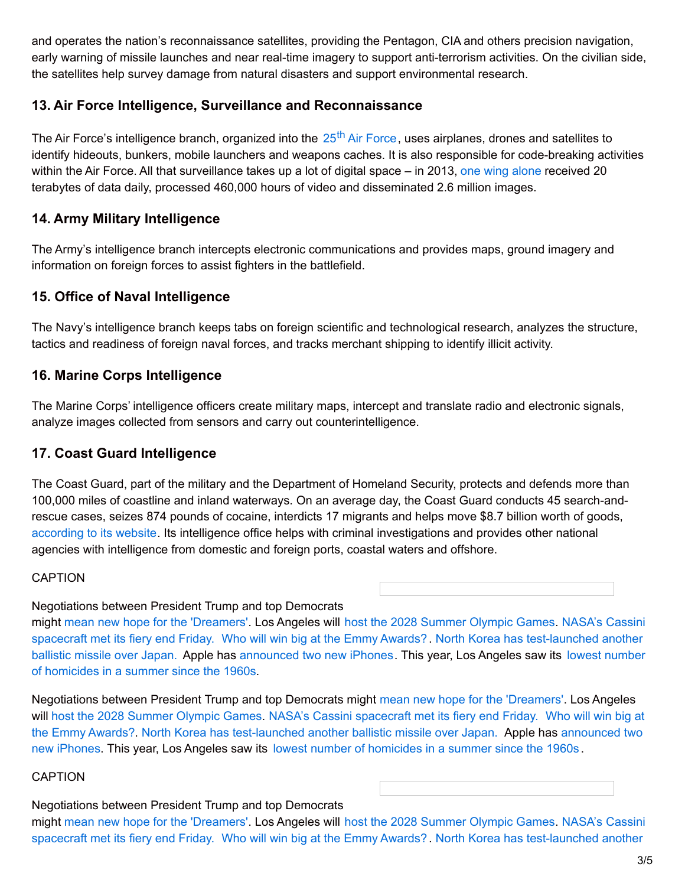and operates the nation's reconnaissance satellites, providing the Pentagon, CIA and others precision navigation, early warning of missile launches and near real-time imagery to support anti-terrorism activities. On the civilian side, the satellites help survey damage from natural disasters and support environmental research.

## **13. Air Force Intelligence, Surveillance and Reconnaissance**

The Air [Force](http://www.25af.af.mil/AboutUs/FactSheets/Display/tabid/6260/Article/662963/twenty-fifth-air-force.aspx)'s intelligence branch, organized into the 25<sup>th</sup> Air Force, uses airplanes, drones and satellites to identify hideouts, bunkers, mobile launchers and weapons caches. It is also responsible for code-breaking activities within the Air Force. All that surveillance takes up a lot of digital space – in 2013, one wing [alone](http://www.defenseone.com/technology/2014/11/look-inside-secret-us-air-force-intelligence-center/99347/) received 20 terabytes of data daily, processed 460,000 hours of video and disseminated 2.6 million images.

## **14. Army Military Intelligence**

The Army's intelligence branch intercepts electronic communications and provides maps, ground imagery and information on foreign forces to assist fighters in the battlefield.

## **15. Office of Naval Intelligence**

The Navy's intelligence branch keeps tabs on foreign scientific and technological research, analyzes the structure, tactics and readiness of foreign naval forces, and tracks merchant shipping to identify illicit activity.

## **16. Marine Corps Intelligence**

The Marine Corps' intelligence officers create military maps, intercept and translate radio and electronic signals, analyze images collected from sensors and carry out counterintelligence.

#### **17. Coast Guard Intelligence**

The Coast Guard, part of the military and the Department of Homeland Security, protects and defends more than 100,000 miles of coastline and inland waterways. On an average day, the Coast Guard conducts 45 search-andrescue cases, seizes 874 pounds of cocaine, interdicts 17 migrants and helps move \$8.7 billion worth of goods, [according](http://www.overview.uscg.mil/) to its website. Its intelligence office helps with criminal investigations and provides other national agencies with intelligence from domestic and foreign ports, coastal waters and offshore.

#### CAPTION

#### Negotiations between President Trump and top Democrats

might mean new hope for the ['Dreamers'](http://www.latimes.com/politics/washington/la-na-essential-washington-updates-trump-pushes-deal-on-daca-as-many-1505393511-htmlstory.html). Los Angeles will host the 2028 [Summer](http://www.latimes.com/sports/olympics/la-sp-la-olympics-approved-20170913-story.html) Olympic Games. NASA's Cassini spacecraft met its fiery end Friday. Who will win big at the Emmy [Awards?](http://www.latimes.com/entertainment/tv/la-et-st-emmys-nominees-winners-list-2017-story.html). North Korea has [test-launched](http://www.latimes.com/world/asia/la-fg-north-korea-launch-20170914-story.html) another ballistic missile over Japan. Apple has [announced](http://www.latimes.com/local/lanow/la-me-ln-summer-homicides-20170912-story.html) two new iPhones. This year, Los Angeles saw its lowest number of homicides in a summer since the 1960s.

Negotiations between President Trump and top Democrats might mean new hope for the ['Dreamers'](http://www.latimes.com/politics/washington/la-na-essential-washington-updates-trump-pushes-deal-on-daca-as-many-1505393511-htmlstory.html). Los Angeles will host the 2028 [Summer](http://www.latimes.com/sports/olympics/la-sp-la-olympics-approved-20170913-story.html) Olympic Games. NASA's Cassini [spacecraft](http://www.latimes.com/science/sciencenow/la-sci-sn-cassini-mission-ends-20170915-story.html) met its fiery end Friday. Who will win big at the Emmy Awards?. North Korea has [test-launched](http://www.latimes.com/business/technology/la-fi-tn-apple-iphone-20170912-htmlstory.html) another ballistic missile over Japan. Apple has announced two new iPhones. This year, Los Angeles saw its lowest number of [homicides](http://www.latimes.com/local/lanow/la-me-ln-summer-homicides-20170912-story.html) in a summer since the 1960s .

#### **CAPTION**

#### Negotiations between President Trump and top Democrats

might mean new hope for the ['Dreamers'](http://www.latimes.com/politics/washington/la-na-essential-washington-updates-trump-pushes-deal-on-daca-as-many-1505393511-htmlstory.html). Los Angeles will host the 2028 [Summer](http://www.latimes.com/sports/olympics/la-sp-la-olympics-approved-20170913-story.html) Olympic Games. NASA's Cassini spacecraft met its fiery end Friday. Who will win big at the Emmy [Awards?](http://www.latimes.com/entertainment/tv/la-et-st-emmys-nominees-winners-list-2017-story.html). North Korea has [test-launched](http://www.latimes.com/world/asia/la-fg-north-korea-launch-20170914-story.html) another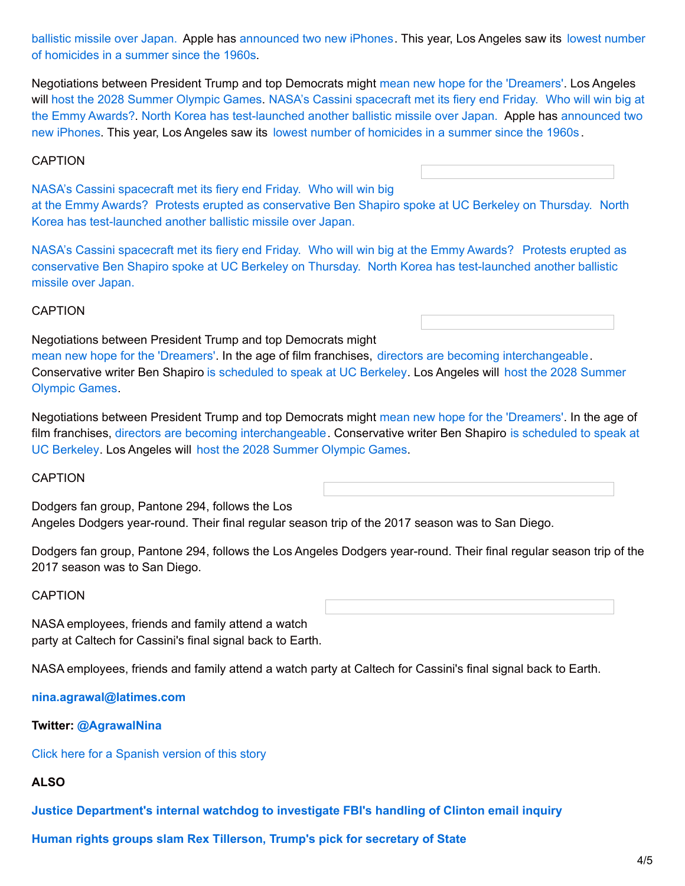ballistic missile over Japan. Apple has [announced](http://www.latimes.com/local/lanow/la-me-ln-summer-homicides-20170912-story.html) two new iPhones. This year, Los Angeles saw its lowest number of homicides in a summer since the 1960s.

Negotiations between President Trump and top Democrats might mean new hope for the ['Dreamers'](http://www.latimes.com/politics/washington/la-na-essential-washington-updates-trump-pushes-deal-on-daca-as-many-1505393511-htmlstory.html). Los Angeles will host the 2028 [Summer](http://www.latimes.com/sports/olympics/la-sp-la-olympics-approved-20170913-story.html) Olympic Games. NASA's Cassini [spacecraft](http://www.latimes.com/science/sciencenow/la-sci-sn-cassini-mission-ends-20170915-story.html) met its fiery end Friday. Who will win big at the Emmy Awards?. North Korea has [test-launched](http://www.latimes.com/business/technology/la-fi-tn-apple-iphone-20170912-htmlstory.html) another ballistic missile over Japan. Apple has announced two new iPhones. This year, Los Angeles saw its lowest number of [homicides](http://www.latimes.com/local/lanow/la-me-ln-summer-homicides-20170912-story.html) in a summer since the 1960s .

#### CAPTION

NASA's Cassini [spacecraft](http://www.latimes.com/science/sciencenow/la-sci-sn-cassini-mission-ends-20170915-story.html) met its fiery end Friday. Who will win big at the Emmy Awards? Protests erupted as [conservative](http://www.latimes.com/entertainment/tv/la-et-st-emmys-nominees-winners-list-2017-story.html) Ben Shapiro spoke at UC Berkeley on Thursday. North Korea has [test-launched](http://www.latimes.com/world/asia/la-fg-north-korea-launch-20170914-story.html) another ballistic missile over Japan.

NASA's Cassini [spacecraft](http://www.latimes.com/science/sciencenow/la-sci-sn-cassini-mission-ends-20170915-story.html) met its fiery end Friday. Who will win big at the Emmy [Awards?](http://www.latimes.com/entertainment/tv/la-et-st-emmys-nominees-winners-list-2017-story.html) Protests erupted as conservative Ben Shapiro spoke at UC Berkeley on Thursday. North Korea has [test-launched](http://www.latimes.com/world/asia/la-fg-north-korea-launch-20170914-story.html) another ballistic missile over Japan.

#### CAPTION

Negotiations between President Trump and top Democrats might

mean new hope for the ['Dreamers'](http://www.latimes.com/politics/washington/la-na-essential-washington-updates-trump-pushes-deal-on-daca-as-many-1505393511-htmlstory.html). In the age of film franchises, directors are becoming [interchangeable](http://www.latimes.com/entertainment/movies/la-et-mn-directors-fired-from-franchises-20170913-story.html). [Conservative](http://www.latimes.com/sports/olympics/la-sp-la-olympics-approved-20170913-story.html) writer Ben Shapiro is [scheduled](http://www.latimes.com/la-me-berkeley-protests-far-right-shapiro-20170914-htmlstory.html) to speak at UC Berkeley. Los Angeles will host the 2028 Summer Olympic Games.

Negotiations between President Trump and top Democrats might mean new hope for the ['Dreamers'](http://www.latimes.com/politics/washington/la-na-essential-washington-updates-trump-pushes-deal-on-daca-as-many-1505393511-htmlstory.html). In the age of film franchises, directors are becoming [interchangeable.](http://www.latimes.com/la-me-berkeley-protests-far-right-shapiro-20170914-htmlstory.html) Conservative writer Ben Shapiro is scheduled to speak at UC Berkeley. Los Angeles will host the 2028 [Summer](http://www.latimes.com/sports/olympics/la-sp-la-olympics-approved-20170913-story.html) Olympic Games.

#### **CAPTION**

Dodgers fan group, Pantone 294, follows the Los Angeles Dodgers year-round. Their final regular season trip of the 2017 season was to San Diego.

Dodgers fan group, Pantone 294, follows the Los Angeles Dodgers year-round. Their final regular season trip of the 2017 season was to San Diego.

#### CAPTION

NASA employees, friends and family attend a watch party at Caltech for Cassini's final signal back to Earth.

NASA employees, friends and family attend a watch party at Caltech for Cassini's final signal back to Earth.

**[nina.agrawal@latimes.com](mailto:nina.agrawal@latimes.com)**

#### **Twitter: [@AgrawalNina](https://twitter.com/AgrawalNina)**

Click here for a [Spanish](http://www.hoylosangeles.com/latimesespanol/hoyla-lat-mucho-mas-que-la-cia-y-el-fbi-estas-17-agencias-integran-la-comunidad-de-espionaje-de-los-ee-uu-20170118-story.html) version of this story

#### **ALSO**

**Justice [Department's](http://www.latimes.com/politics/la-na-pol-investigation-comey-clinton-20170112-story.html) internal watchdog to investigate FBI's handling of Clinton email inquiry**

**Human rights groups slam Rex Tillerson, Trump's pick for [secretary](http://www.latimes.com/politics/la-na-pol-tillerson-human-rights-20170112-story.html) of State**